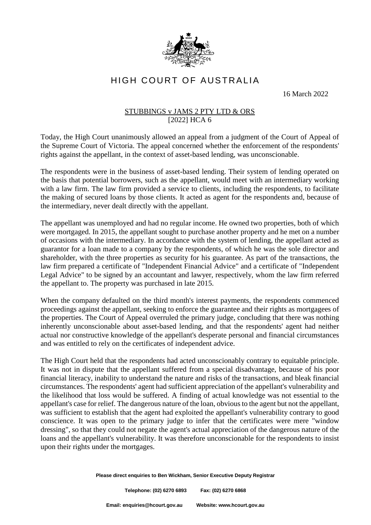

HIGH COURT OF AUSTRALIA

16 March 2022

## STUBBINGS v JAMS 2 PTY LTD & ORS [2022] HCA 6

Today, the High Court unanimously allowed an appeal from a judgment of the Court of Appeal of the Supreme Court of Victoria. The appeal concerned whether the enforcement of the respondents' rights against the appellant, in the context of asset-based lending, was unconscionable.

The respondents were in the business of asset-based lending. Their system of lending operated on the basis that potential borrowers, such as the appellant, would meet with an intermediary working with a law firm. The law firm provided a service to clients, including the respondents, to facilitate the making of secured loans by those clients. It acted as agent for the respondents and, because of the intermediary, never dealt directly with the appellant.

The appellant was unemployed and had no regular income. He owned two properties, both of which were mortgaged. In 2015, the appellant sought to purchase another property and he met on a number of occasions with the intermediary. In accordance with the system of lending, the appellant acted as guarantor for a loan made to a company by the respondents, of which he was the sole director and shareholder, with the three properties as security for his guarantee. As part of the transactions, the law firm prepared a certificate of "Independent Financial Advice" and a certificate of "Independent Legal Advice" to be signed by an accountant and lawyer, respectively, whom the law firm referred the appellant to. The property was purchased in late 2015.

When the company defaulted on the third month's interest payments, the respondents commenced proceedings against the appellant, seeking to enforce the guarantee and their rights as mortgagees of the properties. The Court of Appeal overruled the primary judge, concluding that there was nothing inherently unconscionable about asset-based lending, and that the respondents' agent had neither actual nor constructive knowledge of the appellant's desperate personal and financial circumstances and was entitled to rely on the certificates of independent advice.

The High Court held that the respondents had acted unconscionably contrary to equitable principle. It was not in dispute that the appellant suffered from a special disadvantage, because of his poor financial literacy, inability to understand the nature and risks of the transactions, and bleak financial circumstances. The respondents' agent had sufficient appreciation of the appellant's vulnerability and the likelihood that loss would be suffered. A finding of actual knowledge was not essential to the appellant's case for relief. The dangerous nature of the loan, obvious to the agent but not the appellant, was sufficient to establish that the agent had exploited the appellant's vulnerability contrary to good conscience. It was open to the primary judge to infer that the certificates were mere "window dressing", so that they could not negate the agent's actual appreciation of the dangerous nature of the loans and the appellant's vulnerability. It was therefore unconscionable for the respondents to insist upon their rights under the mortgages.

**Please direct enquiries to Ben Wickham, Senior Executive Deputy Registrar**